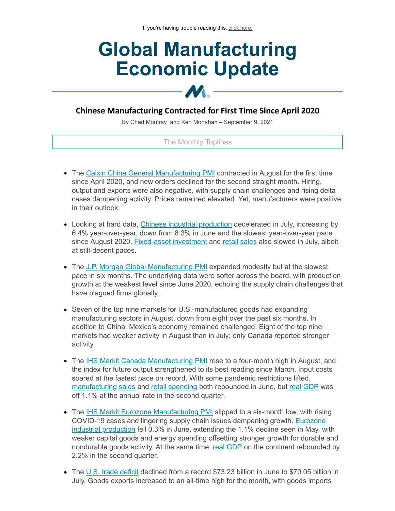# **Global Manufacturing Economic Update**

# **Chinese Manufacturing Contracted for First Time Since April 2020**

 $M_{\odot}$ 

By Chad Moutray and Ken Monahan – September 9, 2021

#### The Monthly Toplines

- The Caixin China General [Manufacturing](https://click.email.nam.org/?qs=ddf8fc9ca06d8d9aaef8fffaf0272a756a5c8c4ef16133cf3f08153c970fdc4f3e0c5a880ca1f1d856abe994eb0cfc5453cc5e49a1888ca3) PMI contracted in August for the first time since April 2020, and new orders declined for the second straight month. Hiring, output and exports were also negative, with supply chain challenges and rising delta cases dampening activity. Prices remained elevated. Yet, manufacturers were positive in their outlook.
- Looking at hard data, Chinese industrial [production](https://click.email.nam.org/?qs=ddf8fc9ca06d8d9ab69358fe653147fcb51e8c0515dafa60c9e6ae8256913b35793824c35d6e1dde97f45727705ea045d46a40f1ed658a69) decelerated in July, increasing by 6.4% year-over-year, down from 8.3% in June and the slowest year-over-year pace since August 2020. [Fixed-asset](https://click.email.nam.org/?qs=ddf8fc9ca06d8d9a761c67cfff36696b093e7c03b42d8222cfb0727e4950c95a24fa695139241faee7b4a0ba28f2baf8eb9c3a038fd385d1) investment and retail [sales](https://click.email.nam.org/?qs=ddf8fc9ca06d8d9aaabffde6430cf14169aa3fc097de5d9157d7786ba88cd82b10a1699ddefa2d69e1d315501b4ab95a0ca1b236b8640361) also slowed in July, albeit at still-decent paces.
- The J.P. Morgan Global [Manufacturing](https://click.email.nam.org/?qs=ddf8fc9ca06d8d9ab6237728e377c62ec10c69e363510a5ddf345c8a9c3872c869bd10aab3b61568f1d901bef8b5d5f3f5ce01ebc2301d39) PMI expanded modestly but at the slowest pace in six months. The underlying data were softer across the board, with production growth at the weakest level since June 2020, echoing the supply chain challenges that have plagued firms globally.
- Seven of the top nine markets for U.S.-manufactured goods had expanding manufacturing sectors in August, down from eight over the past six months. In addition to China, Mexico's economy remained challenged. Eight of the top nine markets had weaker activity in August than in July; only Canada reported stronger activity.
- The IHS Markit Canada [Manufacturing](https://click.email.nam.org/?qs=ddf8fc9ca06d8d9a816f72b2f48391e90f17544bb0874b015995337a179a44f1ccf4ae92098f220f1fb52838258c2e5e797193183eb2d6b4) PMI rose to a four-month high in August, and the index for future output strengthened to its best reading since March. Input costs soared at the fastest pace on record. With some pandemic restrictions lifted, [manufacturing](https://click.email.nam.org/?qs=4bcbaac8f909473c5549c04e68c32febfdd0eb53ca3563afa98b640cfcdd5f0a7af2b552c0eee2a08d5804c513db68d4db6a9660f3cd49f3) sales and retail [spending](https://click.email.nam.org/?qs=4bcbaac8f909473c863047269be5b2f06ccbea99de3a1c6e3edd9fefd0faabf467905d70e52da6e06e6e927d41a19055d2684fed046d696b) both rebounded in June, but real [GDP](https://click.email.nam.org/?qs=4bcbaac8f909473ca3b0e0d53f09038f8544fee89eeb06e3d3bf03493f089c716a1f01b6338dabc24ac99b9839babbe097d759a35ea54660) was off 1.1% at the annual rate in the second quarter.
- The IHS Markit Eurozone [Manufacturing](https://click.email.nam.org/?qs=4bcbaac8f909473c04535d92a88d7f95c663d560e6ee2566429b62a007c2237ff235f6386842f82f9bd6240be14623f867e166a26db0b71f) PMI slipped to a six-month low, with rising COVID-19 cases and lingering supply chain issues [dampening](https://click.email.nam.org/?qs=4bcbaac8f909473ca05f7882fd43967ea271727220075e0e37ab05e6b5c9ac4759b48bb8b95577f9cf457aa00678128c367ad6c60a895658) growth. Eurozone industrial production fell 0.3% in June, extending the 1.1% decline seen in May, with weaker capital goods and energy spending offsetting stronger growth for durable and nondurable goods activity. At the same time, real [GDP](https://click.email.nam.org/?qs=4bcbaac8f909473ce016e7b7bdac0e9151276f08c0b6b5eee7229fb125a10dd93f3b46e85eaddc020c937b696caf9ad50ef844fefb462376) on the continent rebounded by 2.2% in the second quarter.
- The U.S. trade [deficit](https://click.email.nam.org/?qs=4bcbaac8f909473ccac621419ed90ca0209ca8839afaef6629ef590ffa577778707a10a9a1faac67b58b5727a652030c3c6227adcfb0d693) declined from a record \$73.23 billion in June to \$70.05 billion in July. Goods exports increased to an all-time high for the month, with goods imports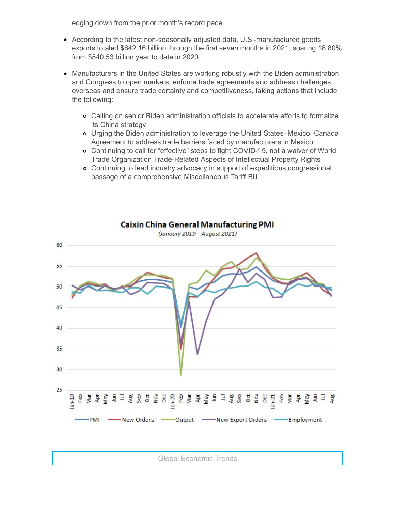edging down from the prior month's record pace.

- According to the latest non-seasonally adjusted data, U.S.-manufactured goods exports totaled \$642.16 billion through the first seven months in 2021, soaring 18.80% from \$540.53 billion year to date in 2020.
- Manufacturers in the United States are working robustly with the Biden administration and Congress to open markets, enforce trade agreements and address challenges overseas and ensure trade certainty and competitiveness, taking actions that include the following:
	- Calling on senior Biden administration officials to accelerate efforts to formalize its China strategy
	- Urging the Biden administration to leverage the United States–Mexico–Canada Agreement to address trade barriers faced by manufacturers in Mexico
	- Continuing to call for "effective" steps to fight COVID-19, not a waiver of World Trade Organization Trade-Related Aspects of Intellectual Property Rights
	- Continuing to lead industry advocacy in support of expeditious congressional passage of a comprehensive Miscellaneous Tariff Bill



**Caixin China General Manufacturing PMI** 

(January 2019 - August 2021)

Global Economic Trends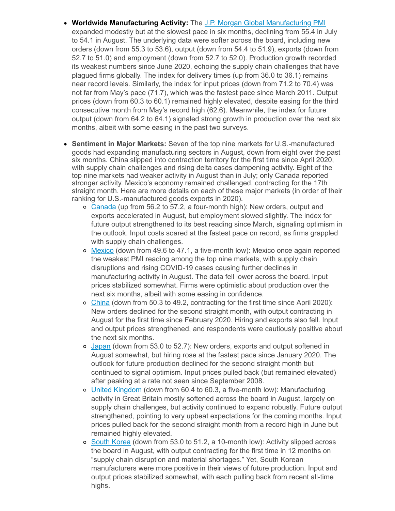- **Worldwide Manufacturing Activity:** The J.P. Morgan Global [Manufacturing](https://click.email.nam.org/?qs=ddf8fc9ca06d8d9ab6237728e377c62ec10c69e363510a5ddf345c8a9c3872c869bd10aab3b61568f1d901bef8b5d5f3f5ce01ebc2301d39) PMI expanded modestly but at the slowest pace in six months, declining from 55.4 in July to 54.1 in August. The underlying data were softer across the board, including new orders (down from 55.3 to 53.6), output (down from 54.4 to 51.9), exports (down from 52.7 to 51.0) and employment (down from 52.7 to 52.0). Production growth recorded its weakest numbers since June 2020, echoing the supply chain challenges that have plagued firms globally. The index for delivery times (up from 36.0 to 36.1) remains near record levels. Similarly, the index for input prices (down from 71.2 to 70.4) was not far from May's pace (71.7), which was the fastest pace since March 2011. Output prices (down from 60.3 to 60.1) remained highly elevated, despite easing for the third consecutive month from May's record high (62.6). Meanwhile, the index for future output (down from 64.2 to 64.1) signaled strong growth in production over the next six months, albeit with some easing in the past two surveys.
- **Sentiment in Major Markets:** Seven of the top nine markets for U.S.-manufactured goods had expanding manufacturing sectors in August, down from eight over the past six months. China slipped into contraction territory for the first time since April 2020, with supply chain challenges and rising delta cases dampening activity. Eight of the top nine markets had weaker activity in August than in July; only Canada reported stronger activity. Mexico's economy remained challenged, contracting for the 17th straight month. Here are more details on each of these major markets (in order of their ranking for U.S.-manufactured goods exports in 2020).
	- o [Canada](https://click.email.nam.org/?qs=ddf8fc9ca06d8d9a816f72b2f48391e90f17544bb0874b015995337a179a44f1ccf4ae92098f220f1fb52838258c2e5e797193183eb2d6b4) (up from 56.2 to 57.2, a four-month high): New orders, output and exports accelerated in August, but employment slowed slightly. The index for future output strengthened to its best reading since March, signaling optimism in the outlook. Input costs soared at the fastest pace on record, as firms grappled with supply chain challenges.
	- o [Mexico](https://click.email.nam.org/?qs=4bcbaac8f909473cda5a0ae5e9bb1d492271c19d1d04f37d68db190eacfd991923a6bd76d8ecbafa6a4adfb34baf8eaf826ef97a4aac758f) (down from 49.6 to 47.1, a five-month low): Mexico once again reported the weakest PMI reading among the top nine markets, with supply chain disruptions and rising COVID-19 cases causing further declines in manufacturing activity in August. The data fell lower across the board. Input prices stabilized somewhat. Firms were optimistic about production over the next six months, albeit with some easing in confidence.
	- [China](https://click.email.nam.org/?qs=ddf8fc9ca06d8d9aaef8fffaf0272a756a5c8c4ef16133cf3f08153c970fdc4f3e0c5a880ca1f1d856abe994eb0cfc5453cc5e49a1888ca3) (down from 50.3 to 49.2, contracting for the first time since April 2020): New orders declined for the second straight month, with output contracting in August for the first time since February 2020. Hiring and exports also fell. Input and output prices strengthened, and respondents were cautiously positive about the next six months.
	- o [Japan](https://click.email.nam.org/?qs=4bcbaac8f909473ce73e49d42f7b69002a28b1f916a6b363c4a9492d6ee537205accdd0040d4e9e7998642ce2f64b1074543a247bbcd2056) (down from 53.0 to 52.7): New orders, exports and output softened in August somewhat, but hiring rose at the fastest pace since January 2020. The outlook for future production declined for the second straight month but continued to signal optimism. Input prices pulled back (but remained elevated) after peaking at a rate not seen since September 2008.
	- United [Kingdom](https://click.email.nam.org/?qs=4bcbaac8f909473ccade0d5f6e6cf7c7e4f4d24ff146b8a1b912cbb816f69a0d450c96b31b343401162b56567540e4d1b7dbb9aa78e21ec1) (down from 60.4 to 60.3, a five-month low): Manufacturing activity in Great Britain mostly softened across the board in August, largely on supply chain challenges, but activity continued to expand robustly. Future output strengthened, pointing to very upbeat expectations for the coming months. Input prices pulled back for the second straight month from a record high in June but remained highly elevated.
	- o South [Korea](https://click.email.nam.org/?qs=4bcbaac8f909473c0a3cefdce2f53197d662e368ef0574495ceb51d4438096248fe057b885d95b92d74e9fce1b80772eaf55eed88dd91193) (down from 53.0 to 51.2, a 10-month low): Activity slipped across the board in August, with output contracting for the first time in 12 months on "supply chain disruption and material shortages." Yet, South Korean manufacturers were more positive in their views of future production. Input and output prices stabilized somewhat, with each pulling back from recent all-time highs.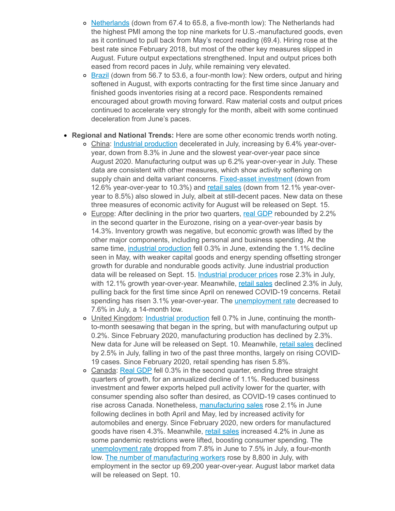- o [Netherlands](https://click.email.nam.org/?qs=4bcbaac8f909473cd19e03b32a9ede6106c6f207a4fa4e45ca111bb8567fc1351a07ff755786b60e21b1c8f391494a666ad8bad89c1629a9) (down from 67.4 to 65.8, a five-month low): The Netherlands had the highest PMI among the top nine markets for U.S.-manufactured goods, even as it continued to pull back from May's record reading (69.4). Hiring rose at the best rate since February 2018, but most of the other key measures slipped in August. Future output expectations strengthened. Input and output prices both eased from record paces in July, while remaining very elevated.
- $\circ$  [Brazil](https://click.email.nam.org/?qs=4bcbaac8f909473ce39fee8d037dc45bd5895c53af051528b75b6ffae9d947605698b12b3aff141c7ffbcd2571d9252a0a942e75d9a6202e) (down from 56.7 to 53.6, a four-month low): New orders, output and hiring softened in August, with exports contracting for the first time since January and finished goods inventories rising at a record pace. Respondents remained encouraged about growth moving forward. Raw material costs and output prices continued to accelerate very strongly for the month, albeit with some continued deceleration from June's paces.
- **Regional and National Trends:** Here are some other economic trends worth noting.
	- China: Industrial [production](https://click.email.nam.org/?qs=ddf8fc9ca06d8d9ab69358fe653147fcb51e8c0515dafa60c9e6ae8256913b35793824c35d6e1dde97f45727705ea045d46a40f1ed658a69) decelerated in July, increasing by 6.4% year-overyear, down from 8.3% in June and the slowest year-over-year pace since August 2020. Manufacturing output was up 6.2% year-over-year in July. These data are consistent with other measures, which show activity softening on supply chain and delta variant concerns. [Fixed-asset](https://click.email.nam.org/?qs=ddf8fc9ca06d8d9a761c67cfff36696b093e7c03b42d8222cfb0727e4950c95a24fa695139241faee7b4a0ba28f2baf8eb9c3a038fd385d1) investment (down from 12.6% year-over-year to 10.3%) and retail [sales](https://click.email.nam.org/?qs=ddf8fc9ca06d8d9aaabffde6430cf14169aa3fc097de5d9157d7786ba88cd82b10a1699ddefa2d69e1d315501b4ab95a0ca1b236b8640361) (down from 12.1% year-overyear to 8.5%) also slowed in July, albeit at still-decent paces. New data on these three measures of economic activity for August will be released on Sept. 15.
	- Europe: After declining in the prior two quarters, real [GDP](https://click.email.nam.org/?qs=4bcbaac8f909473ce016e7b7bdac0e9151276f08c0b6b5eee7229fb125a10dd93f3b46e85eaddc020c937b696caf9ad50ef844fefb462376) rebounded by 2.2% in the second quarter in the Eurozone, rising on a year-over-year basis by 14.3%. Inventory growth was negative, but economic growth was lifted by the other major components, including personal and business spending. At the same time, industrial [production](https://click.email.nam.org/?qs=4bcbaac8f909473ca05f7882fd43967ea271727220075e0e37ab05e6b5c9ac4759b48bb8b95577f9cf457aa00678128c367ad6c60a895658) fell 0.3% in June, extending the 1.1% decline seen in May, with weaker capital goods and energy spending offsetting stronger growth for durable and nondurable goods activity. June industrial production data will be released on Sept. 15. [Industrial](https://click.email.nam.org/?qs=4bcbaac8f909473c90c8be37c495dbe3ae1df05bb3d1a44b56e6d8ec5dfc0f05f56b05a63bd388c65ab78d83bec256a0aab0749c3e508edd) producer prices rose 2.3% in July, with 12.1% growth year-over-year. Meanwhile, retail [sales](https://click.email.nam.org/?qs=4bcbaac8f909473cd717afde341b800df3be597c638480a9f47a10e496a04e606bc83e5638edc4a0531502d931c4f3e369df24c8369b45a4) declined 2.3% in July, pulling back for the first time since April on renewed COVID-19 concerns. Retail spending has risen 3.1% year-over-year. The [unemployment](https://click.email.nam.org/?qs=4bcbaac8f909473caf003b023542831965f858d9d4a0898a303090e4dccd603a0631f3463e396cf61ba89e65ffaaf50a7eda6ef8f1f582eb) rate decreased to 7.6% in July, a 14-month low.
	- United Kingdom: Industrial [production](https://click.email.nam.org/?qs=4bcbaac8f909473c33121db42b6824cc6995f681c3ff1e05beeef36f9654db3c4e6a4c8f33f06e80629f6dd8d333759f511d44817d0a9ab7) fell 0.7% in June, continuing the monthto-month seesawing that began in the spring, but with manufacturing output up 0.2%. Since February 2020, manufacturing production has declined by 2.3%. New data for June will be released on Sept. 10. Meanwhile, retail [sales](https://click.email.nam.org/?qs=4bcbaac8f909473c6c0b43ab4eb915ad87c44a1cb44ca116080eeafc2d2f2cec586d9b7b1b71877753464c8b1d61c9b66e9f54134021a677) declined by 2.5% in July, falling in two of the past three months, largely on rising COVID-19 cases. Since February 2020, retail spending has risen 5.8%.
	- o Canada: Real [GDP](https://click.email.nam.org/?qs=4bcbaac8f909473ca3b0e0d53f09038f8544fee89eeb06e3d3bf03493f089c716a1f01b6338dabc24ac99b9839babbe097d759a35ea54660) fell 0.3% in the second quarter, ending three straight quarters of growth, for an annualized decline of 1.1%. Reduced business investment and fewer exports helped pull activity lower for the quarter, with consumer spending also softer than desired, as COVID-19 cases continued to rise across Canada. Nonetheless, [manufacturing](https://click.email.nam.org/?qs=4bcbaac8f909473c5549c04e68c32febfdd0eb53ca3563afa98b640cfcdd5f0a7af2b552c0eee2a08d5804c513db68d4db6a9660f3cd49f3) sales rose 2.1% in June following declines in both April and May, led by increased activity for automobiles and energy. Since February 2020, new orders for manufactured goods have risen 4.3%. Meanwhile, retail [sales](https://click.email.nam.org/?qs=4bcbaac8f909473c863047269be5b2f06ccbea99de3a1c6e3edd9fefd0faabf467905d70e52da6e06e6e927d41a19055d2684fed046d696b) increased 4.2% in June as some pandemic restrictions were lifted, boosting consumer spending. The [unemployment](https://click.email.nam.org/?qs=4bcbaac8f909473c538fcdcd19001bc92fad27581cefcddd9be6ff9d1c3906c75d2bd6d398f0b5708e10141399e0315c9542d30af40f6cb8) rate dropped from 7.8% in June to 7.5% in July, a four-month low. The number of [manufacturing](https://click.email.nam.org/?qs=4bcbaac8f909473cb7863bf0248564650b9cd403c98c4bb674865a813883de88a9126bc315403c0e515643241733a431714cf0e5db937439) workers rose by 8,800 in July, with employment in the sector up 69,200 year-over-year. August labor market data will be released on Sept. 10.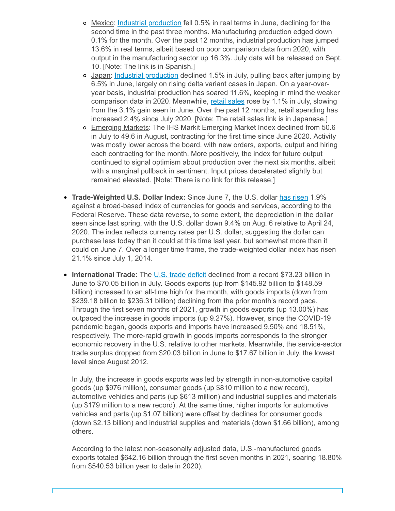- o Mexico: Industrial [production](https://click.email.nam.org/?qs=4bcbaac8f909473c08559fc74bced43203f8d1b9f3f9253d8843ed4d2d4e33fe94abda68c145ee200998222bb11934000d368930255ca4ca) fell 0.5% in real terms in June, declining for the second time in the past three months. Manufacturing production edged down 0.1% for the month. Over the past 12 months, industrial production has jumped 13.6% in real terms, albeit based on poor comparison data from 2020, with output in the manufacturing sector up 16.3%. July data will be released on Sept. 10. [Note: The link is in Spanish.]
- Japan: Industrial [production](https://click.email.nam.org/?qs=4bcbaac8f909473c08e7865cdf9759e9f341fb2112f13b2e3e82c57b727a784757ac791e6593006906c4f7adb705080fad34788f18b14bab) declined 1.5% in July, pulling back after jumping by 6.5% in June, largely on rising delta variant cases in Japan. On a year-overyear basis, industrial production has soared 11.6%, keeping in mind the weaker comparison data in 2020. Meanwhile, retail [sales](https://click.email.nam.org/?qs=4bcbaac8f909473cb97e314f4072cc3991d8a3d0aa257d7cddb8ca9ae17942b2eec42b115edf67e423fe73a9b14692036ee3c3fe5742b389) rose by 1.1% in July, slowing from the 3.1% gain seen in June. Over the past 12 months, retail spending has increased 2.4% since July 2020. [Note: The retail sales link is in Japanese.]
- o Emerging Markets: The IHS Markit Emerging Market Index declined from 50.6 in July to 49.6 in August, contracting for the first time since June 2020. Activity was mostly lower across the board, with new orders, exports, output and hiring each contracting for the month. More positively, the index for future output continued to signal optimism about production over the next six months, albeit with a marginal pullback in sentiment. Input prices decelerated slightly but remained elevated. [Note: There is no link for this release.]
- **Trade-Weighted U.S. Dollar Index:** Since June 7, the U.S. dollar has [risen](https://click.email.nam.org/?qs=4bcbaac8f909473c9499b581236404a1c1b68af888f703d2ef05bcbf2afbc4e5e5e8e510d66d9f89541b7a896380618902099f05470b8a5f) 1.9% against a broad-based index of currencies for goods and services, according to the Federal Reserve. These data reverse, to some extent, the depreciation in the dollar seen since last spring, with the U.S. dollar down 9.4% on Aug. 6 relative to April 24, 2020. The index reflects currency rates per U.S. dollar, suggesting the dollar can purchase less today than it could at this time last year, but somewhat more than it could on June 7. Over a longer time frame, the trade-weighted dollar index has risen 21.1% since July 1, 2014.
- **International Trade:** The U.S. trade [deficit](https://click.email.nam.org/?qs=4bcbaac8f909473ccac621419ed90ca0209ca8839afaef6629ef590ffa577778707a10a9a1faac67b58b5727a652030c3c6227adcfb0d693) declined from a record \$73.23 billion in  $\bullet$ June to \$70.05 billion in July. Goods exports (up from \$145.92 billion to \$148.59 billion) increased to an all-time high for the month, with goods imports (down from \$239.18 billion to \$236.31 billion) declining from the prior month's record pace. Through the first seven months of 2021, growth in goods exports (up 13.00%) has outpaced the increase in goods imports (up 9.27%). However, since the COVID-19 pandemic began, goods exports and imports have increased 9.50% and 18.51%, respectively. The more-rapid growth in goods imports corresponds to the stronger economic recovery in the U.S. relative to other markets. Meanwhile, the service-sector trade surplus dropped from \$20.03 billion in June to \$17.67 billion in July, the lowest level since August 2012.

In July, the increase in goods exports was led by strength in non-automotive capital goods (up \$976 million), consumer goods (up \$810 million to a new record), automotive vehicles and parts (up \$613 million) and industrial supplies and materials (up \$179 million to a new record). At the same time, higher imports for automotive vehicles and parts (up \$1.07 billion) were offset by declines for consumer goods (down \$2.13 billion) and industrial supplies and materials (down \$1.66 billion), among others.

According to the latest non-seasonally adjusted data, U.S.-manufactured goods exports totaled \$642.16 billion through the first seven months in 2021, soaring 18.80% from \$540.53 billion year to date in 2020).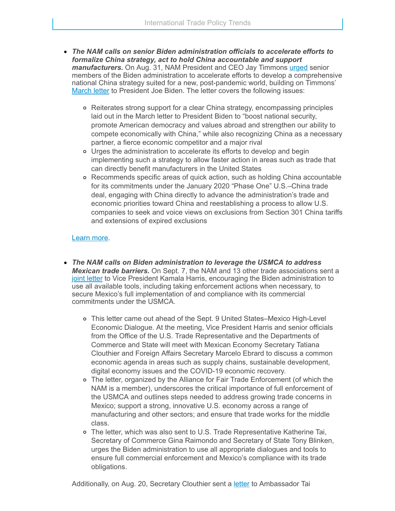- *The NAM calls on senior Biden administration officials to accelerate efforts to formalize China strategy, act to hold China accountable and support manufacturers.* On Aug. 31, NAM President and CEO Jay Timmons [urged](https://click.email.nam.org/?qs=4bcbaac8f909473c048feac61d2bf1551812caaac9ca4101f2644b3d479a80e582542fb1d0625229217368e66d6a648a713ee9deeedef28b) senior members of the Biden administration to accelerate efforts to develop a comprehensive national China strategy suited for a new, post-pandemic world, building on Timmons' [March](https://click.email.nam.org/?qs=4bcbaac8f909473c0eda5e081e6eeab124930968c6d424a63c15d814b6cdc183521e5986cc36d9c290bfc9abf3115481cc098f9b1841b93c) letter to President Joe Biden. The letter covers the following issues:
	- Reiterates strong support for a clear China strategy, encompassing principles laid out in the March letter to President Biden to "boost national security, promote American democracy and values abroad and strengthen our ability to compete economically with China," while also recognizing China as a necessary partner, a fierce economic competitor and a major rival
	- Urges the administration to accelerate its efforts to develop and begin implementing such a strategy to allow faster action in areas such as trade that can directly benefit manufacturers in the United States
	- Recommends specific areas of quick action, such as holding China accountable for its commitments under the January 2020 "Phase One" U.S.–China trade deal, engaging with China directly to advance the administration's trade and economic priorities toward China and reestablishing a process to allow U.S. companies to seek and voice views on exclusions from Section 301 China tariffs and extensions of expired exclusions

## [Learn](mailto:rong@nam.org?subject=China) more.

- *The NAM calls on Biden administration to leverage the USMCA to address Mexican trade barriers.* On Sept. 7, the NAM and 13 other trade associations sent a joint [letter](https://click.email.nam.org/?qs=4bcbaac8f909473c399a583572d9abe29ad0bf002402351a93d729081df76c1e803a78b61da28a062737ccac9e61b2b3fa8a23da6144d2d3) to Vice President Kamala Harris, encouraging the Biden administration to use all available tools, including taking enforcement actions when necessary, to secure Mexico's full implementation of and compliance with its commercial commitments under the USMCA.
	- This letter came out ahead of the Sept. 9 United States–Mexico High-Level Economic Dialogue. At the meeting, Vice President Harris and senior officials from the Office of the U.S. Trade Representative and the Departments of Commerce and State will meet with Mexican Economy Secretary Tatiana Clouthier and Foreign Affairs Secretary Marcelo Ebrard to discuss a common economic agenda in areas such as supply chains, sustainable development, digital economy issues and the COVID-19 economic recovery.
	- The letter, organized by the Alliance for Fair Trade Enforcement (of which the NAM is a member), underscores the critical importance of full enforcement of the USMCA and outlines steps needed to address growing trade concerns in Mexico; support a strong, innovative U.S. economy across a range of manufacturing and other sectors; and ensure that trade works for the middle class.
	- The letter, which was also sent to U.S. Trade Representative Katherine Tai, Secretary of Commerce Gina Raimondo and Secretary of State Tony Blinken, urges the Biden administration to use all appropriate dialogues and tools to ensure full commercial enforcement and Mexico's compliance with its trade obligations.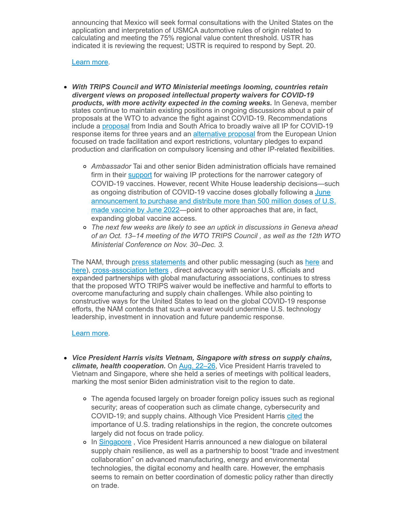announcing that Mexico will seek formal consultations with the United States on the application and interpretation of USMCA automotive rules of origin related to calculating and meeting the 75% regional value content threshold. USTR has indicated it is reviewing the request; USTR is required to respond by Sept. 20.

#### [Learn](mailto:msierra@nam.org?subject=Mexico) more.

- *With TRIPS Council and WTO Ministerial meetings looming, countries retain divergent views on proposed intellectual property waivers for COVID-19 products, with more activity expected in the coming weeks.* In Geneva, member states continue to maintain existing positions in ongoing discussions about a pair of proposals at the WTO to advance the fight against COVID-19. Recommendations include a [proposal](https://click.email.nam.org/?qs=4bcbaac8f909473ceb93e7edd26570231a94ef5a8f9bd794b00ae4804bba0d99dbeeab82573c955df15b33e2d2890bc3ba827b04beb4991d) from India and South Africa to broadly waive all IP for COVID-19 response items for three years and an [alternative](https://click.email.nam.org/?qs=4bcbaac8f909473c793ec8282dba4995b6728afe2cde286d967db12bae581ed72a19242b7414eca1422103fd4f6851357ca821df143b35a2) proposal from the European Union focused on trade facilitation and export restrictions, voluntary pledges to expand production and clarification on compulsory licensing and other IP-related flexibilities.
	- *Ambassador* Tai and other senior Biden administration officials have remained firm in their **[support](https://click.email.nam.org/?qs=4bcbaac8f909473c0a2765c87e09f7fc4d985b649775919f55edcbdc09b6b1808aa105717ed31410678308df65c3eb500b7eafa6cb7ecf40)** for waiving IP protections for the narrower category of COVID-19 vaccines. However, recent White House leadership decisions—such as ongoing distribution of COVID-19 vaccine doses globally following a June [announcement](https://click.email.nam.org/?qs=4bcbaac8f909473cb78c3563ff35de69da4151e4c575aecf74f947abeb7a2c5025bc082a9c8e07250a97588b0877a565859939ea96be7336) to purchase and distribute more than 500 million doses of U.S. made vaccine by June 2022—point to other approaches that are, in fact, expanding global vaccine access.
	- *The next few weeks are likely to see an uptick in discussions in Geneva ahead of an Oct. 13–14 meeting of the WTO TRIPS Council , as well as the 12th WTO Ministerial Conference on Nov. 30–Dec. 3.*

The NAM, through press [statements](https://click.email.nam.org/?qs=4bcbaac8f909473cddd1704b620929f6d63fa40105d39426dfd46b071045bc0abd6fe5626e0aecf478e7a5168607267f43a28b01c923f3a1) and other public messaging (such as [here](https://click.email.nam.org/?qs=4bcbaac8f909473c2fc1a925e5f47a8171167f1191a6388c6b46ce37873cfd214aec28b3eaf30c48d56a3fa1d968f12d4cf1cdbd324b4a07) and [here](https://click.email.nam.org/?qs=4bcbaac8f909473c550597a6549e8f4cf03c367a79edd590bc422da22784e32d8201a69e211bf6c5323d9b332c296cae123fe981b0ce46fc)), [cross-association](https://click.email.nam.org/?qs=4bcbaac8f909473c1cbbeb59912e936202dde46349286066bd3e10bb3959ffdbd2a700f1a69f187659d550be366e900fab18588d8f6042b1) letters , direct advocacy with senior U.S. officials and expanded partnerships with global manufacturing associations, continues to stress that the proposed WTO TRIPS waiver would be ineffective and harmful to efforts to overcome manufacturing and supply chain challenges. While also pointing to constructive ways for the United States to lead on the global COVID-19 response efforts, the NAM contends that such a waiver would undermine U.S. technology leadership, investment in innovation and future pandemic response.

#### [Learn](mailto:kmonahan@nam.org;rong@nam.org;msierra@nam.org?subject=WTO-TRIPS) more.

- *Vice President Harris visits Vietnam, Singapore with stress on supply chains, climate, health cooperation.* On Aug. [22–26,](https://click.email.nam.org/?qs=4bcbaac8f909473c19225d0348e8c091d786bd7cb48dcb7d10a5041a4d06338f1ca74181f7a0489e268cef4208ab78406eae649445444249) Vice President Harris traveled to Vietnam and Singapore, where she held a series of meetings with political leaders, marking the most senior Biden administration visit to the region to date.
	- The agenda focused largely on broader foreign policy issues such as regional security; areas of cooperation such as climate change, cybersecurity and COVID-19; and supply chains. Although Vice President Harris [cited](https://click.email.nam.org/?qs=4bcbaac8f909473c0703ac5f9cbba5cfd9b347b1c596c3a4664c8d32815d09d37c5bc6af25669a6bfc42da3afa91bbaf000fa893f29ab451) the importance of U.S. trading relationships in the region, the concrete outcomes largely did not focus on trade policy.
	- o In [Singapore](https://click.email.nam.org/?qs=4bcbaac8f909473c661fa401f632c029013ea61ab80c3bd148c32b4922d6194cc1b4d89ffe319d27da66e17cbbf2c30d480cd224cb8a2945), Vice President Harris announced a new dialogue on bilateral supply chain resilience, as well as a partnership to boost "trade and investment collaboration" on advanced manufacturing, energy and environmental technologies, the digital economy and health care. However, the emphasis seems to remain on better coordination of domestic policy rather than directly on trade.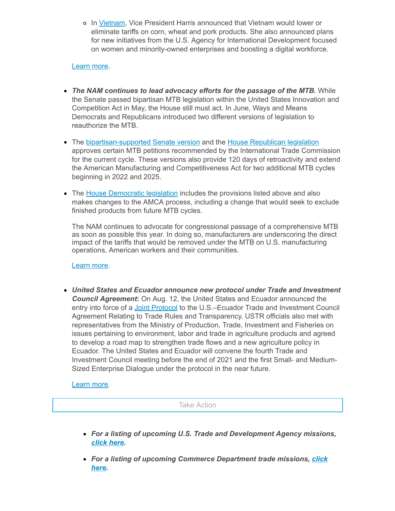o In [Vietnam,](https://click.email.nam.org/?qs=4bcbaac8f909473c950be14dc97d1b6112ba692c2fa077d74d6c6b0b214de7a2c36b876373ed9581fc77729d04d3aacd4e2d954c879cecd3) Vice President Harris announced that Vietnam would lower or eliminate tariffs on corn, wheat and pork products. She also announced plans for new initiatives from the U.S. Agency for International Development focused on women and minority-owned enterprises and boosting a digital workforce.

### [Learn](mailto:rong@nam.org?subject=VP%20Harris%20to%20Southeast%20Asia) more.

- *The NAM continues to lead advocacy efforts for the passage of the MTB.* While the Senate passed bipartisan MTB legislation within the United States Innovation and Competition Act in May, the House still must act. In June, Ways and Means Democrats and Republicans introduced two different versions of legislation to reauthorize the MTB.
- The [bipartisan-supported](https://click.email.nam.org/?qs=4bcbaac8f909473ccdb58b54a3f93d532dce070a29bdc40f4b52ba80deaba0e4da30aacafa1a13789bc260be4250e8d4a623da8ab0463d37) Senate version and the House [Republican](https://click.email.nam.org/?qs=4bcbaac8f909473cec7872c7f30e2c4badbb3f104f79a41f9e8ffe0cfbf12e91bfe3b174c10d21950984efd63a9029420a866007e5bd91c4) legislation approves certain MTB petitions recommended by the International Trade Commission for the current cycle. These versions also provide 120 days of retroactivity and extend the American Manufacturing and Competitiveness Act for two additional MTB cycles beginning in 2022 and 2025.
- The House [Democratic](https://click.email.nam.org/?qs=4bcbaac8f909473c442a89dd704c67905cc9cb2c3e359e23af40ae6c58ad7d7b2b8331fd2bff2d4dec3c17133b99676de9aac953b6d82e23) legislation includes the provisions listed above and also makes changes to the AMCA process, including a change that would seek to exclude finished products from future MTB cycles.

The NAM continues to advocate for congressional passage of a comprehensive MTB as soon as possible this year. In doing so, manufacturers are underscoring the direct impact of the tariffs that would be removed under the MTB on U.S. manufacturing operations, American workers and their communities.

[Learn](mailto:aaafedt@nam.org?subject=Miscellaneous%20Tariff%20Bill) more.

*United States and Ecuador announce new protocol under Trade and Investment Council Agreement***:** On Aug. 12, the United States and Ecuador announced the entry into force of a Joint [Protocol](https://click.email.nam.org/?qs=4bcbaac8f909473c2d2381a5afe684f878fa4aedaf26b171584801152462a9b6cfa7607c1a62034610a05e4988bb27600ae576eb14a3625d) to the U.S.–Ecuador Trade and Investment Council Agreement Relating to Trade Rules and Transparency. USTR officials also met with representatives from the Ministry of Production, Trade, Investment and Fisheries on issues pertaining to environment, labor and trade in agriculture products and agreed to develop a road map to strengthen trade flows and a new agriculture policy in Ecuador. The United States and Ecuador will convene the fourth Trade and Investment Council meeting before the end of 2021 and the first Small- and Medium-Sized Enterprise Dialogue under the protocol in the near future.

[Learn](mailto:msierra@nam.org?subject=Ecuador) more.

Take Action

- *For a listing of upcoming U.S. Trade and Development Agency missions, [click](https://click.email.nam.org/?qs=4bcbaac8f909473c36fde938970c57c19e395324ab5e013ca6b5ec47ef45b6595e29758bd8e432926a81e64ca6fa7a72c58bd6af34fb86c6) here.*
- *For a listing of upcoming Commerce [Department](https://click.email.nam.org/?qs=4bcbaac8f909473c051df9d703b1a18d6bc402a7b3fc44e39c234c2c1053e497afd2aa3ac28a22078d4bd2c9288511c37630ee5bbe6d4224) trade missions, click here***.**